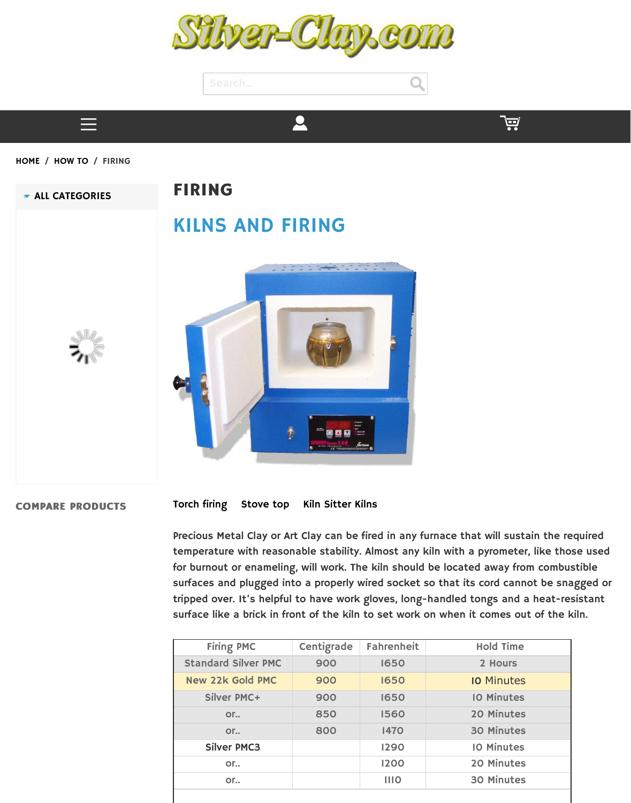# [KILNS AND FIRING](http://www.silver-clay.com/)





#### **C[OMPARE PRODUCTS](http://www.silver-clay.com/copper-based-clays.html/)**

### Torch firing Stove top Kiln Sitter Kilns

Precious Metal Clay or Art Clay can be fired in any furnace temperature with reasonable stability. Almost any kiln wit for burnout or enameling, will work. The kiln should be loc surfaces and plugged into a properly wired socket so that tripped over. It's helpful to have work gloves, long-handle surface like a brick in front of the kiln to set work on whe

| <b>Firing PMC</b>          | Centigrade | <b>Fahrenheit</b> |  |
|----------------------------|------------|-------------------|--|
| <b>Standard Silver PMC</b> | 900        | 1650              |  |
| <b>New 22k Gold PMC</b>    | 900        | 1650              |  |
| <b>Silver PMC+</b>         | 900        | 1650              |  |
| or                         | 850        | 1560              |  |
| $OT_{++}$                  | 800        | <b>1470</b>       |  |
| <b>Silver PMC3</b>         |            | 1290              |  |
| or                         |            | 1200              |  |
| or                         |            | III <sub>O</sub>  |  |
|                            |            |                   |  |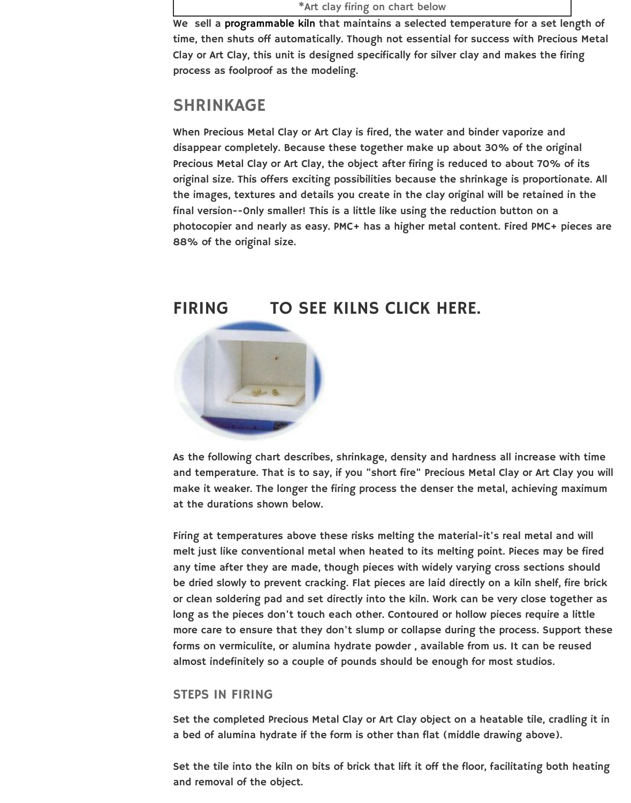final version--Only smaller! This is a little like using the re photocopi[er and nearly as ea](http://www.silver-clay.com/jewelry-kilns.html)sy. PMC+ has a higher metal 88% of the original size.



As the following chart describes, shrinkage, density and h and temperature. That is to say, if you "short fire" Preciou make it weaker. The longer the firing process the denser the at the durations shown below.

Firing at temperatures above these risks melting the materialmelt just like conventional metal when heated to its melt any time after they are made, though pieces with widely vary be dried slowly to prevent cracking. Flat pieces are laid di or clean soldering pad and set directly into the kiln. Work long as the pieces don't touch each other. Contoured or I more care to ensure that they don't slump or collapse during forms on vermiculite, or alumina hydrate powder, availabl almost indefinitely so a couple of pounds should be enough

### STEPS IN FIRING

Set the completed Precious Metal Clay or Art Clay object on a bed of alumina hydrate if the form is other than flat (mi

Set the tile into the kiln on bits of brick that lift it off the and removal of the object.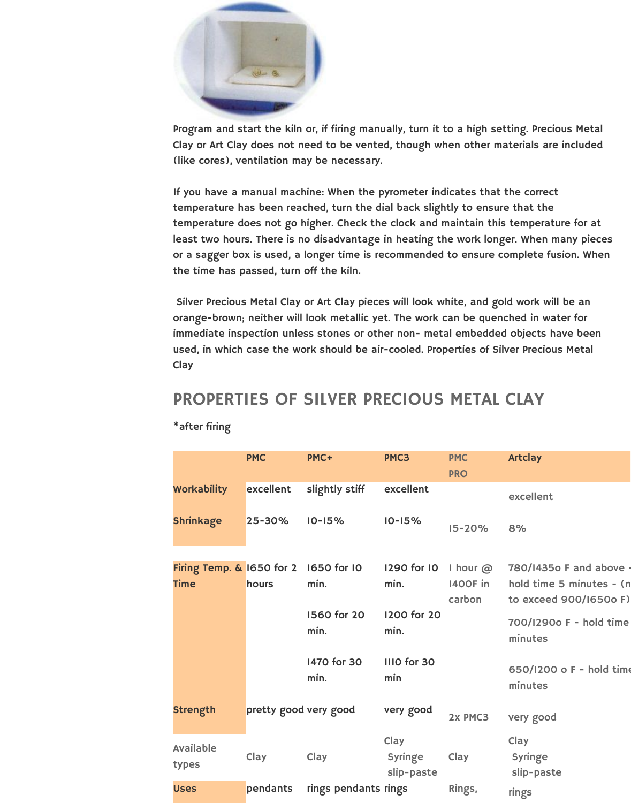

Program and start the kiln or, if firing manually, turn it to a high setting. Precious Metal Clay or Art Clay does not need to be vented, though when other materials are included (like cores), ventilation may be necessary.

If you have a manual machine: When the pyrometer indicates that the correct temperature has been reached, turn the dial back slightly to ensure that the temperature does not go higher. Check the clock and maintain this temperature for at least two hours. There is no disadvantage in heating the work longer. When many pieces or a sagger box is used, a longer time is recommended to ensure complete fusion. When the time has passed, turn off the kiln.

 Silver Precious Metal Clay or Art Clay pieces will look white, and gold work will be an orange-brown; neither will look metallic yet. The work can be quenched in water for immediate inspection unless stones or other non- metal embedded objects have been used, in which case the work should be air-cooled. Properties of Silver Precious Metal **Clay** 

### PROPERTIES OF SILVER PRECIOUS METAL CLAY

\*after firing

|  |                                          | <b>PMC</b>            | PMC+                 | PMC3                                 | <b>PMC</b><br><b>PRO</b>                     | <b>Artclay</b>                                                                |
|--|------------------------------------------|-----------------------|----------------------|--------------------------------------|----------------------------------------------|-------------------------------------------------------------------------------|
|  | <b>Workability</b>                       | excellent             | slightly stiff       | excellent                            |                                              | excellent                                                                     |
|  | <b>Shrinkage</b>                         | 25-30%                | $10 - 15%$           | $10 - 15%$                           | $15 - 20%$                                   | 8%                                                                            |
|  | Firing Temp. & 1650 for 2<br><b>Time</b> | hours                 | 1650 for 10<br>min.  | 1290 for 10<br>min.                  | I hour $\omega$<br><b>1400F</b> in<br>carbon | 780/14350 F and above ·<br>hold time 5 minutes - (n<br>to exceed 900/1650o F) |
|  |                                          |                       | 1560 for 20<br>min.  | 1200 for 20<br>min.                  |                                              | 700/1290o F - hold time<br>minutes                                            |
|  |                                          |                       | 1470 for 30<br>min.  | IIIO for 30<br>min                   |                                              | 650/1200 o F - hold time<br>minutes                                           |
|  | <b>Strength</b>                          | pretty good very good |                      | very good                            | 2x PMC3                                      | very good                                                                     |
|  | <b>Available</b><br>types                | Clay                  | Clay                 | Clay<br><b>Syringe</b><br>slip-paste | Clay                                         | Clay<br><b>Syringe</b><br>slip-paste                                          |
|  | <b>Uses</b>                              | pendants              | rings pendants rings |                                      | Rings,                                       | rings                                                                         |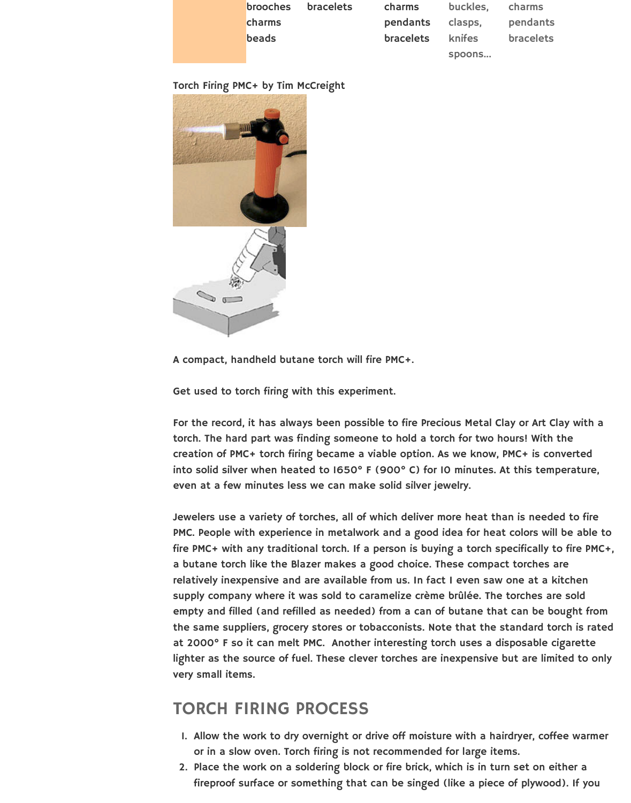

A compact, handheld butane torch will fire PMC+.

Get used to torch firing with this experiment.

For the record, it has always been possible to fire Precious torch. The hard part was finding someone to hold a torch creation of PMC+ torch firing became a viable option. As w into solid silver when heated to  $1650^\circ$  F (900 $^\circ$  C) for 10 m even at a few minutes less we can make solid silver jewelry.

Jewelers use a variety of torches, all of which deliver more PMC. People with experience in metalwork and a good ide fire PMC+ with any traditional torch. If a person is buying a butane torch like the Blazer makes a good choice. Thes relatively inexpensive and are available from us. In fact I supply company where it was sold to caramelize crème br empty and filled (and refilled as needed) from a can of but the same suppliers, grocery stores or tobacconists. Note t at 2000° F so it can melt PMC. Another interesting torch lighter as the source of fuel. These clever torches are inex very small items.

# TORCH FIRING PROCESS

- 1. Allow the work to dry overnight or drive off moisture with a hairdry or in a slow oven. Torch firing is not recommended for
- 2. Place the work on a soldering block or fire brick, which fireproof surface or something that can be singed (lik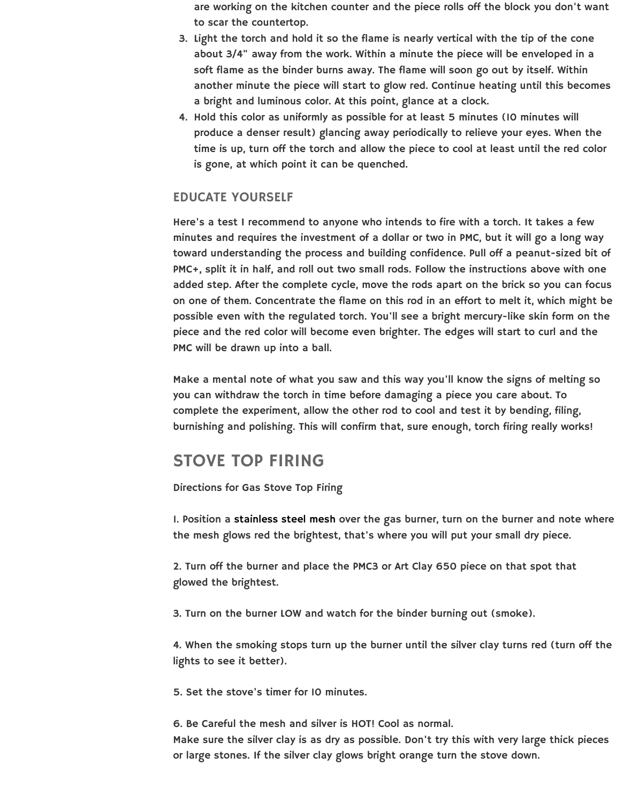Here's a test I recommend to anyone who intends to fire. minutes and requires the investment of a dollar or two in toward understanding the process and building confidence PMC+, split it in half, and roll out two small rods. Follow th added step. After the complete cycle, move the rods apar on one of them. Concentrate the flame on this rod in an  $\epsilon$ possible even with the regulated torch. You'll see a bright piece and the red color will become even brighter. The edges PMC will be drawn up into a ball.

Make a mental note of what you saw and this way you'll you can withdraw the torch in time before damaging a pie complete the experiment, allow the other rod to cool and burnishing and polishing. This will confirm that, sure enough

# STOVE TOP FIRING

Directions for Gas Stove Top Firing

1. Position a stainless steel mesh over the gas burner, turing the mesh glows red the brightest, that's where you will piech

2. Turn off the burner and place the PMC3 or Art Clay 650 glowed the brightest.

3. Turn on the burner LOW and watch for the binder burning

4. When the smoking stops turn up the burner until the sil lights to see it better).

5. Set the stove's timer for 10 minutes.

6. Be Carefu[l the mesh and silver](http://www.silver-clay.com/jewelry-kilns/grate-steel-to-fire-silverclay-6-square.html) is HOT! Cool as normal. Make sure the silver clay is as dry as possible. Don't try this or large stones. If the silver clay glows bright orange turn.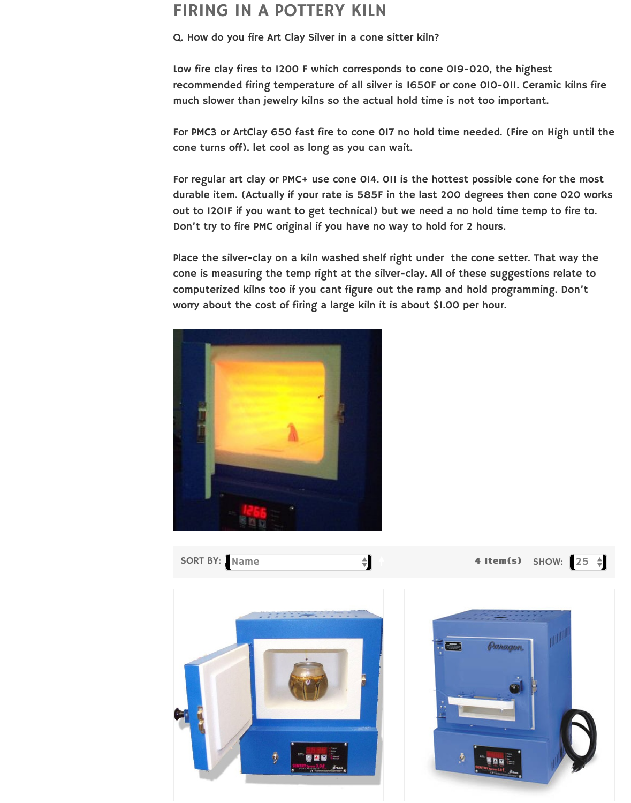out to 1201F if you want to get technical) but we need a n Don't try to fire PMC original if you have no way to hold fo

Place the silver-clay on a kiln washed shelf right under the cone is measuring the temp right at the silver-clay. All of computerized kilns too if you cant figure out the ramp and worry about the cost of firing a large kiln it is about \$1.00





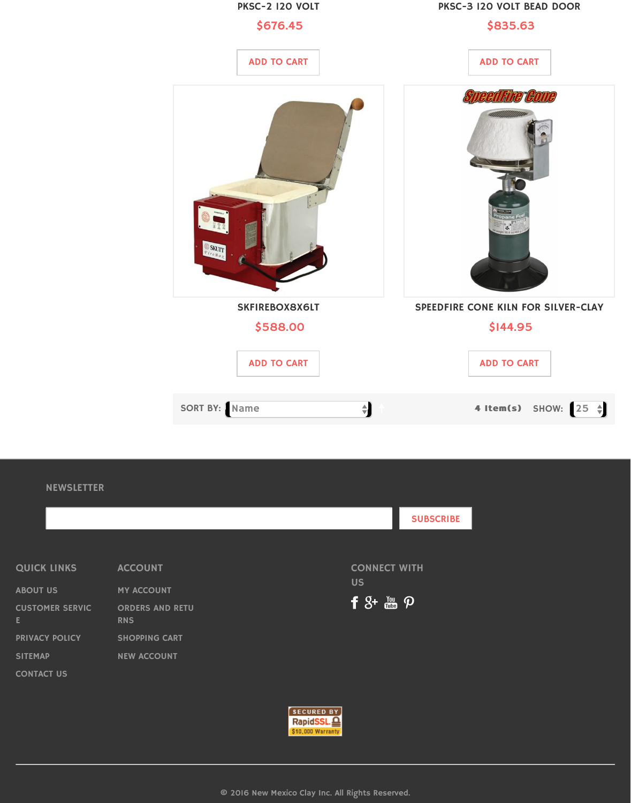

#### **NEWSLETTER**

|                              |                                      |  |                                             | <b>SUBSCRIBE</b> |  |
|------------------------------|--------------------------------------|--|---------------------------------------------|------------------|--|
|                              |                                      |  |                                             |                  |  |
| <b>QUICK LINKS</b>           | <b>ACCOUNT</b>                       |  | <b>CONNECT WITH</b>                         |                  |  |
| <b>ABOUT US</b>              | <b>MY ACCOUNT</b>                    |  | <b>US</b>                                   |                  |  |
| <b>CUSTOMER SERVIC</b><br>E. | <b>ORDERS AND RETU</b><br><b>RNS</b> |  | $f 8 + \frac{y_{\text{ou}}}{\text{cm}}$ $p$ |                  |  |
| <b>PRIVACY POLICY</b>        | <b>SHOPPING CART</b>                 |  |                                             |                  |  |
| <b>SITEMAP</b>               | <b>NEW ACCOUNT</b>                   |  |                                             |                  |  |
| <b>CONTACT US</b>            |                                      |  |                                             |                  |  |
|                              |                                      |  |                                             |                  |  |



© 2016 New Mexico Clay Inc. All Rights Reserved.